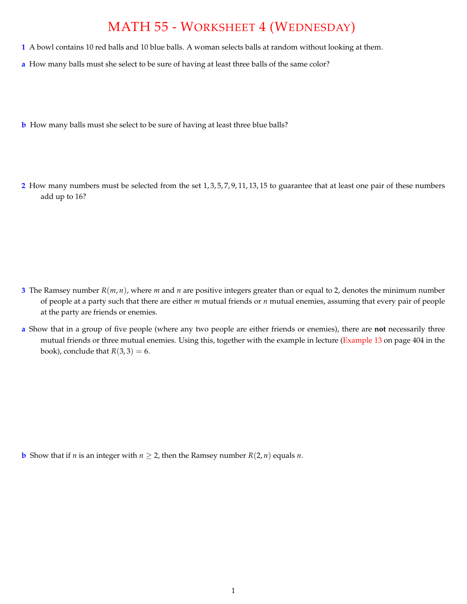## MATH 55 - WORKSHEET 4 (WEDNESDAY)

- **1** A bowl contains 10 red balls and 10 blue balls. A woman selects balls at random without looking at them.
- **a** How many balls must she select to be sure of having at least three balls of the same color?
- **b** How many balls must she select to be sure of having at least three blue balls?
- **2** How many numbers must be selected from the set 1, 3, 5, 7, 9, 11, 13, 15 to guarantee that at least one pair of these numbers add up to 16?

- **3** The Ramsey number *R*(*m*, *n*), where *m* and *n* are positive integers greater than or equal to 2, denotes the minimum number of people at a party such that there are either *m* mutual friends or *n* mutual enemies, assuming that every pair of people at the party are friends or enemies.
- **a** Show that in a group of five people (where any two people are either friends or enemies), there are **not** necessarily three mutual friends or three mutual enemies. Using this, together with the example in lecture (Example 13 on page 404 in the book), conclude that  $R(3, 3) = 6$ .

**b** Show that if *n* is an integer with  $n \geq 2$ , then the Ramsey number  $R(2, n)$  equals *n*.